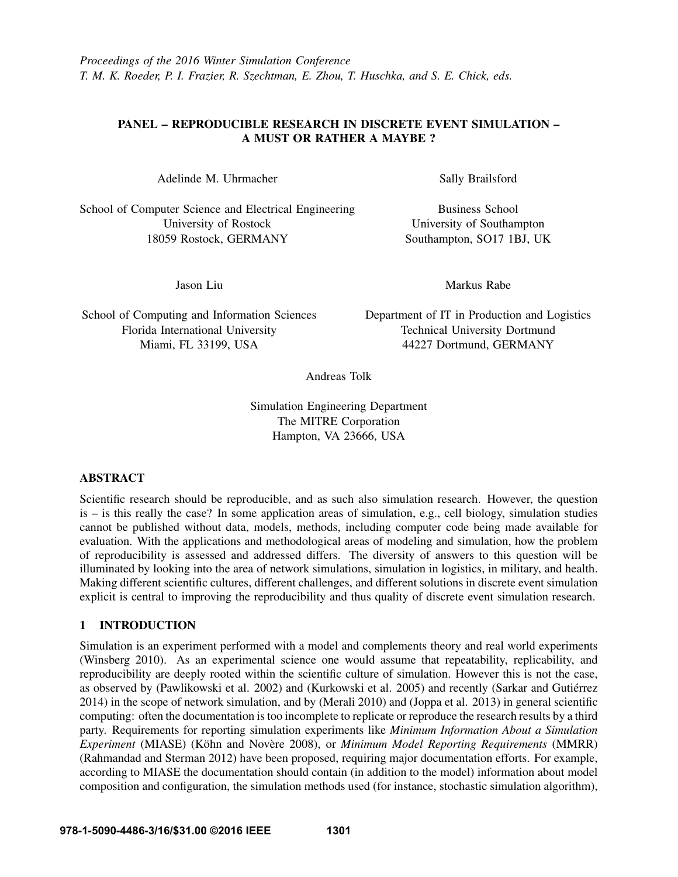# PANEL – REPRODUCIBLE RESEARCH IN DISCRETE EVENT SIMULATION – A MUST OR RATHER A MAYBE ?

Adelinde M. Uhrmacher

School of Computer Science and Electrical Engineering University of Rostock 18059 Rostock, GERMANY

Sally Brailsford

Business School University of Southampton Southampton, SO17 1BJ, UK

Jason Liu

Markus Rabe

School of Computing and Information Sciences Florida International University Miami, FL 33199, USA

Department of IT in Production and Logistics Technical University Dortmund 44227 Dortmund, GERMANY

Andreas Tolk

Simulation Engineering Department The MITRE Corporation Hampton, VA 23666, USA

# ABSTRACT

Scientific research should be reproducible, and as such also simulation research. However, the question is – is this really the case? In some application areas of simulation, e.g., cell biology, simulation studies cannot be published without data, models, methods, including computer code being made available for evaluation. With the applications and methodological areas of modeling and simulation, how the problem of reproducibility is assessed and addressed differs. The diversity of answers to this question will be illuminated by looking into the area of network simulations, simulation in logistics, in military, and health. Making different scientific cultures, different challenges, and different solutions in discrete event simulation explicit is central to improving the reproducibility and thus quality of discrete event simulation research.

# 1 INTRODUCTION

Simulation is an experiment performed with a model and complements theory and real world experiments (Winsberg 2010). As an experimental science one would assume that repeatability, replicability, and reproducibility are deeply rooted within the scientific culture of simulation. However this is not the case, as observed by (Pawlikowski et al. 2002) and (Kurkowski et al. 2005) and recently (Sarkar and Gutiérrez 2014) in the scope of network simulation, and by (Merali 2010) and (Joppa et al. 2013) in general scientific computing: often the documentation is too incomplete to replicate or reproduce the research results by a third party. Requirements for reporting simulation experiments like *Minimum Information About a Simulation Experiment* (MIASE) (Köhn and Novère 2008), or *Minimum Model Reporting Requirements* (MMRR) (Rahmandad and Sterman 2012) have been proposed, requiring major documentation efforts. For example, according to MIASE the documentation should contain (in addition to the model) information about model composition and configuration, the simulation methods used (for instance, stochastic simulation algorithm),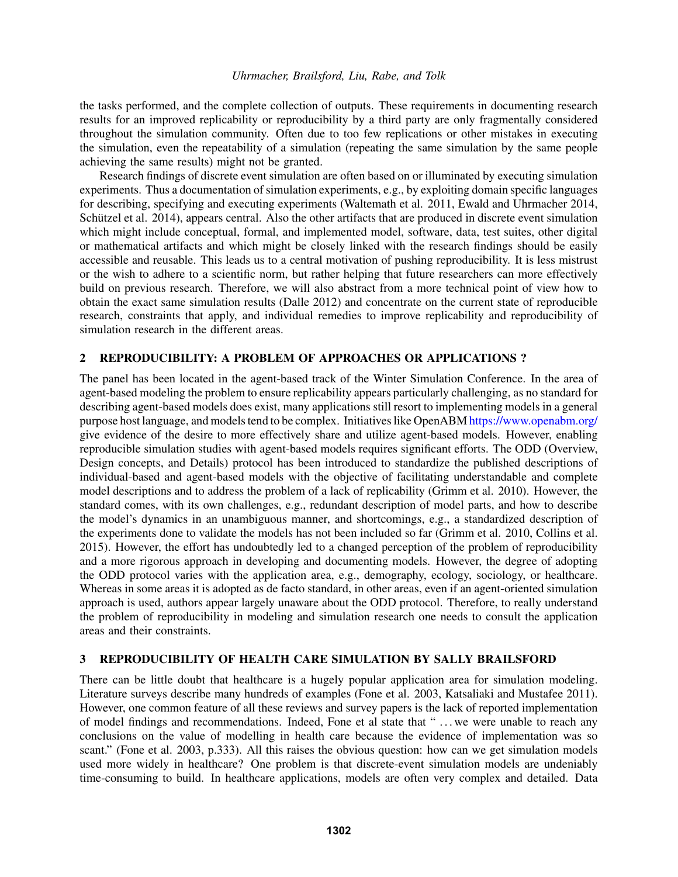the tasks performed, and the complete collection of outputs. These requirements in documenting research results for an improved replicability or reproducibility by a third party are only fragmentally considered throughout the simulation community. Often due to too few replications or other mistakes in executing the simulation, even the repeatability of a simulation (repeating the same simulation by the same people achieving the same results) might not be granted.

Research findings of discrete event simulation are often based on or illuminated by executing simulation experiments. Thus a documentation of simulation experiments, e.g., by exploiting domain specific languages for describing, specifying and executing experiments (Waltemath et al. 2011, Ewald and Uhrmacher 2014, Schützel et al. 2014), appears central. Also the other artifacts that are produced in discrete event simulation which might include conceptual, formal, and implemented model, software, data, test suites, other digital or mathematical artifacts and which might be closely linked with the research findings should be easily accessible and reusable. This leads us to a central motivation of pushing reproducibility. It is less mistrust or the wish to adhere to a scientific norm, but rather helping that future researchers can more effectively build on previous research. Therefore, we will also abstract from a more technical point of view how to obtain the exact same simulation results (Dalle 2012) and concentrate on the current state of reproducible research, constraints that apply, and individual remedies to improve replicability and reproducibility of simulation research in the different areas.

### 2 REPRODUCIBILITY: A PROBLEM OF APPROACHES OR APPLICATIONS ?

The panel has been located in the agent-based track of the Winter Simulation Conference. In the area of agent-based modeling the problem to ensure replicability appears particularly challenging, as no standard for describing agent-based models does exist, many applications still resort to implementing models in a general purpose host language, and models tend to be complex. Initiatives like OpenABM https://www.openabm.org/ give evidence of the desire to more effectively share and utilize agent-based models. However, enabling reproducible simulation studies with agent-based models requires significant efforts. The ODD (Overview, Design concepts, and Details) protocol has been introduced to standardize the published descriptions of individual-based and agent-based models with the objective of facilitating understandable and complete model descriptions and to address the problem of a lack of replicability (Grimm et al. 2010). However, the standard comes, with its own challenges, e.g., redundant description of model parts, and how to describe the model's dynamics in an unambiguous manner, and shortcomings, e.g., a standardized description of the experiments done to validate the models has not been included so far (Grimm et al. 2010, Collins et al. 2015). However, the effort has undoubtedly led to a changed perception of the problem of reproducibility and a more rigorous approach in developing and documenting models. However, the degree of adopting the ODD protocol varies with the application area, e.g., demography, ecology, sociology, or healthcare. Whereas in some areas it is adopted as de facto standard, in other areas, even if an agent-oriented simulation approach is used, authors appear largely unaware about the ODD protocol. Therefore, to really understand the problem of reproducibility in modeling and simulation research one needs to consult the application areas and their constraints.

## 3 REPRODUCIBILITY OF HEALTH CARE SIMULATION BY SALLY BRAILSFORD

There can be little doubt that healthcare is a hugely popular application area for simulation modeling. Literature surveys describe many hundreds of examples (Fone et al. 2003, Katsaliaki and Mustafee 2011). However, one common feature of all these reviews and survey papers is the lack of reported implementation of model findings and recommendations. Indeed, Fone et al state that " . . . we were unable to reach any conclusions on the value of modelling in health care because the evidence of implementation was so scant." (Fone et al. 2003, p.333). All this raises the obvious question: how can we get simulation models used more widely in healthcare? One problem is that discrete-event simulation models are undeniably time-consuming to build. In healthcare applications, models are often very complex and detailed. Data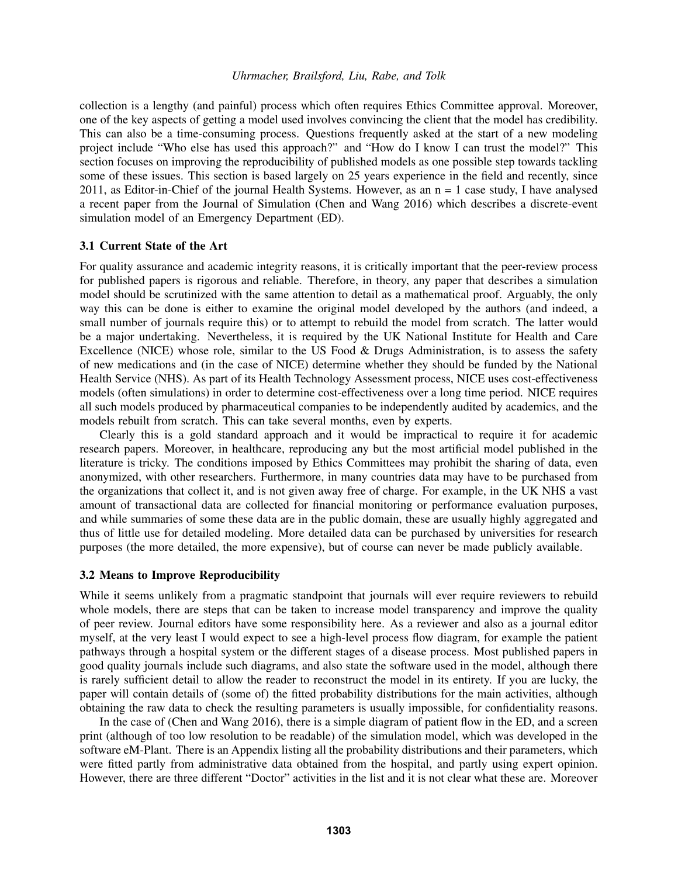collection is a lengthy (and painful) process which often requires Ethics Committee approval. Moreover, one of the key aspects of getting a model used involves convincing the client that the model has credibility. This can also be a time-consuming process. Questions frequently asked at the start of a new modeling project include "Who else has used this approach?" and "How do I know I can trust the model?" This section focuses on improving the reproducibility of published models as one possible step towards tackling some of these issues. This section is based largely on 25 years experience in the field and recently, since 2011, as Editor-in-Chief of the journal Health Systems. However, as an n = 1 case study, I have analysed a recent paper from the Journal of Simulation (Chen and Wang 2016) which describes a discrete-event simulation model of an Emergency Department (ED).

#### 3.1 Current State of the Art

For quality assurance and academic integrity reasons, it is critically important that the peer-review process for published papers is rigorous and reliable. Therefore, in theory, any paper that describes a simulation model should be scrutinized with the same attention to detail as a mathematical proof. Arguably, the only way this can be done is either to examine the original model developed by the authors (and indeed, a small number of journals require this) or to attempt to rebuild the model from scratch. The latter would be a major undertaking. Nevertheless, it is required by the UK National Institute for Health and Care Excellence (NICE) whose role, similar to the US Food & Drugs Administration, is to assess the safety of new medications and (in the case of NICE) determine whether they should be funded by the National Health Service (NHS). As part of its Health Technology Assessment process, NICE uses cost-effectiveness models (often simulations) in order to determine cost-effectiveness over a long time period. NICE requires all such models produced by pharmaceutical companies to be independently audited by academics, and the models rebuilt from scratch. This can take several months, even by experts.

Clearly this is a gold standard approach and it would be impractical to require it for academic research papers. Moreover, in healthcare, reproducing any but the most artificial model published in the literature is tricky. The conditions imposed by Ethics Committees may prohibit the sharing of data, even anonymized, with other researchers. Furthermore, in many countries data may have to be purchased from the organizations that collect it, and is not given away free of charge. For example, in the UK NHS a vast amount of transactional data are collected for financial monitoring or performance evaluation purposes, and while summaries of some these data are in the public domain, these are usually highly aggregated and thus of little use for detailed modeling. More detailed data can be purchased by universities for research purposes (the more detailed, the more expensive), but of course can never be made publicly available.

#### 3.2 Means to Improve Reproducibility

While it seems unlikely from a pragmatic standpoint that journals will ever require reviewers to rebuild whole models, there are steps that can be taken to increase model transparency and improve the quality of peer review. Journal editors have some responsibility here. As a reviewer and also as a journal editor myself, at the very least I would expect to see a high-level process flow diagram, for example the patient pathways through a hospital system or the different stages of a disease process. Most published papers in good quality journals include such diagrams, and also state the software used in the model, although there is rarely sufficient detail to allow the reader to reconstruct the model in its entirety. If you are lucky, the paper will contain details of (some of) the fitted probability distributions for the main activities, although obtaining the raw data to check the resulting parameters is usually impossible, for confidentiality reasons.

In the case of (Chen and Wang 2016), there is a simple diagram of patient flow in the ED, and a screen print (although of too low resolution to be readable) of the simulation model, which was developed in the software eM-Plant. There is an Appendix listing all the probability distributions and their parameters, which were fitted partly from administrative data obtained from the hospital, and partly using expert opinion. However, there are three different "Doctor" activities in the list and it is not clear what these are. Moreover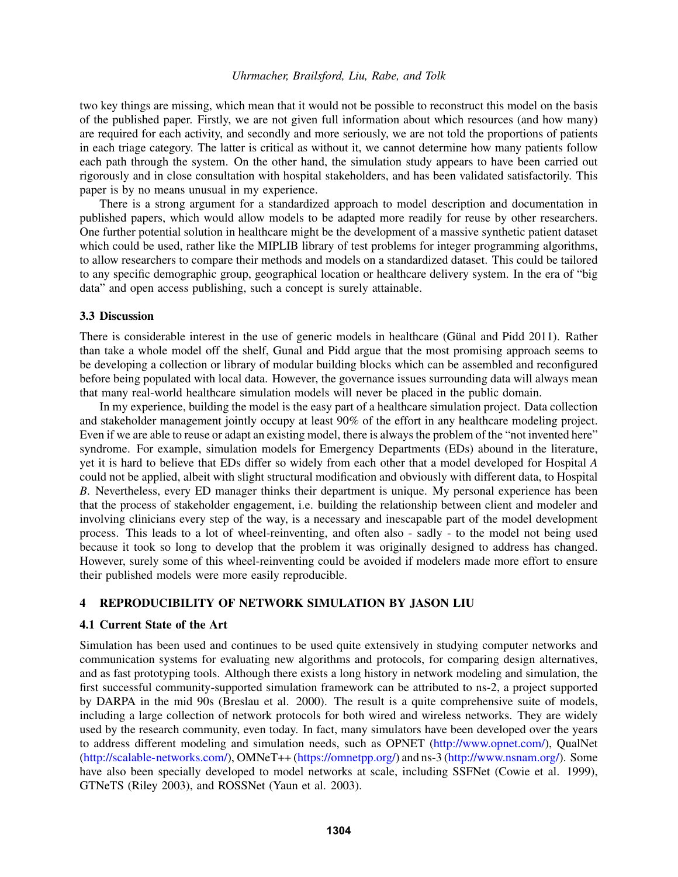two key things are missing, which mean that it would not be possible to reconstruct this model on the basis of the published paper. Firstly, we are not given full information about which resources (and how many) are required for each activity, and secondly and more seriously, we are not told the proportions of patients in each triage category. The latter is critical as without it, we cannot determine how many patients follow each path through the system. On the other hand, the simulation study appears to have been carried out rigorously and in close consultation with hospital stakeholders, and has been validated satisfactorily. This paper is by no means unusual in my experience.

There is a strong argument for a standardized approach to model description and documentation in published papers, which would allow models to be adapted more readily for reuse by other researchers. One further potential solution in healthcare might be the development of a massive synthetic patient dataset which could be used, rather like the MIPLIB library of test problems for integer programming algorithms, to allow researchers to compare their methods and models on a standardized dataset. This could be tailored to any specific demographic group, geographical location or healthcare delivery system. In the era of "big data" and open access publishing, such a concept is surely attainable.

#### 3.3 Discussion

There is considerable interest in the use of generic models in healthcare (Günal and Pidd 2011). Rather than take a whole model off the shelf, Gunal and Pidd argue that the most promising approach seems to be developing a collection or library of modular building blocks which can be assembled and reconfigured before being populated with local data. However, the governance issues surrounding data will always mean that many real-world healthcare simulation models will never be placed in the public domain.

In my experience, building the model is the easy part of a healthcare simulation project. Data collection and stakeholder management jointly occupy at least 90% of the effort in any healthcare modeling project. Even if we are able to reuse or adapt an existing model, there is always the problem of the "not invented here" syndrome. For example, simulation models for Emergency Departments (EDs) abound in the literature, yet it is hard to believe that EDs differ so widely from each other that a model developed for Hospital *A* could not be applied, albeit with slight structural modification and obviously with different data, to Hospital *B*. Nevertheless, every ED manager thinks their department is unique. My personal experience has been that the process of stakeholder engagement, i.e. building the relationship between client and modeler and involving clinicians every step of the way, is a necessary and inescapable part of the model development process. This leads to a lot of wheel-reinventing, and often also - sadly - to the model not being used because it took so long to develop that the problem it was originally designed to address has changed. However, surely some of this wheel-reinventing could be avoided if modelers made more effort to ensure their published models were more easily reproducible.

## 4 REPRODUCIBILITY OF NETWORK SIMULATION BY JASON LIU

#### 4.1 Current State of the Art

Simulation has been used and continues to be used quite extensively in studying computer networks and communication systems for evaluating new algorithms and protocols, for comparing design alternatives, and as fast prototyping tools. Although there exists a long history in network modeling and simulation, the first successful community-supported simulation framework can be attributed to ns-2, a project supported by DARPA in the mid 90s (Breslau et al. 2000). The result is a quite comprehensive suite of models, including a large collection of network protocols for both wired and wireless networks. They are widely used by the research community, even today. In fact, many simulators have been developed over the years to address different modeling and simulation needs, such as OPNET (http://www.opnet.com/), QualNet (http://scalable-networks.com/), OMNeT++ (https://omnetpp.org/) and ns-3 (http://www.nsnam.org/). Some have also been specially developed to model networks at scale, including SSFNet (Cowie et al. 1999), GTNeTS (Riley 2003), and ROSSNet (Yaun et al. 2003).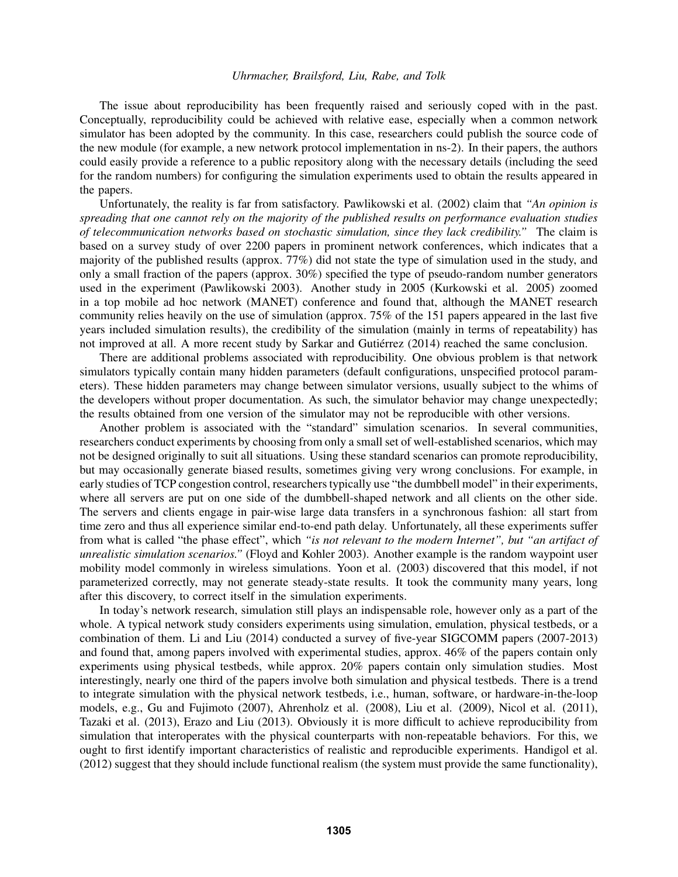The issue about reproducibility has been frequently raised and seriously coped with in the past. Conceptually, reproducibility could be achieved with relative ease, especially when a common network simulator has been adopted by the community. In this case, researchers could publish the source code of the new module (for example, a new network protocol implementation in ns-2). In their papers, the authors could easily provide a reference to a public repository along with the necessary details (including the seed for the random numbers) for configuring the simulation experiments used to obtain the results appeared in the papers.

Unfortunately, the reality is far from satisfactory. Pawlikowski et al. (2002) claim that *"An opinion is spreading that one cannot rely on the majority of the published results on performance evaluation studies of telecommunication networks based on stochastic simulation, since they lack credibility."* The claim is based on a survey study of over 2200 papers in prominent network conferences, which indicates that a majority of the published results (approx. 77%) did not state the type of simulation used in the study, and only a small fraction of the papers (approx. 30%) specified the type of pseudo-random number generators used in the experiment (Pawlikowski 2003). Another study in 2005 (Kurkowski et al. 2005) zoomed in a top mobile ad hoc network (MANET) conference and found that, although the MANET research community relies heavily on the use of simulation (approx. 75% of the 151 papers appeared in the last five years included simulation results), the credibility of the simulation (mainly in terms of repeatability) has not improved at all. A more recent study by Sarkar and Gutiérrez (2014) reached the same conclusion.

There are additional problems associated with reproducibility. One obvious problem is that network simulators typically contain many hidden parameters (default configurations, unspecified protocol parameters). These hidden parameters may change between simulator versions, usually subject to the whims of the developers without proper documentation. As such, the simulator behavior may change unexpectedly; the results obtained from one version of the simulator may not be reproducible with other versions.

Another problem is associated with the "standard" simulation scenarios. In several communities, researchers conduct experiments by choosing from only a small set of well-established scenarios, which may not be designed originally to suit all situations. Using these standard scenarios can promote reproducibility, but may occasionally generate biased results, sometimes giving very wrong conclusions. For example, in early studies of TCP congestion control, researchers typically use "the dumbbell model" in their experiments, where all servers are put on one side of the dumbbell-shaped network and all clients on the other side. The servers and clients engage in pair-wise large data transfers in a synchronous fashion: all start from time zero and thus all experience similar end-to-end path delay. Unfortunately, all these experiments suffer from what is called "the phase effect", which *"is not relevant to the modern Internet", but "an artifact of unrealistic simulation scenarios."* (Floyd and Kohler 2003). Another example is the random waypoint user mobility model commonly in wireless simulations. Yoon et al. (2003) discovered that this model, if not parameterized correctly, may not generate steady-state results. It took the community many years, long after this discovery, to correct itself in the simulation experiments.

In today's network research, simulation still plays an indispensable role, however only as a part of the whole. A typical network study considers experiments using simulation, emulation, physical testbeds, or a combination of them. Li and Liu (2014) conducted a survey of five-year SIGCOMM papers (2007-2013) and found that, among papers involved with experimental studies, approx. 46% of the papers contain only experiments using physical testbeds, while approx. 20% papers contain only simulation studies. Most interestingly, nearly one third of the papers involve both simulation and physical testbeds. There is a trend to integrate simulation with the physical network testbeds, i.e., human, software, or hardware-in-the-loop models, e.g., Gu and Fujimoto (2007), Ahrenholz et al. (2008), Liu et al. (2009), Nicol et al. (2011), Tazaki et al. (2013), Erazo and Liu (2013). Obviously it is more difficult to achieve reproducibility from simulation that interoperates with the physical counterparts with non-repeatable behaviors. For this, we ought to first identify important characteristics of realistic and reproducible experiments. Handigol et al. (2012) suggest that they should include functional realism (the system must provide the same functionality),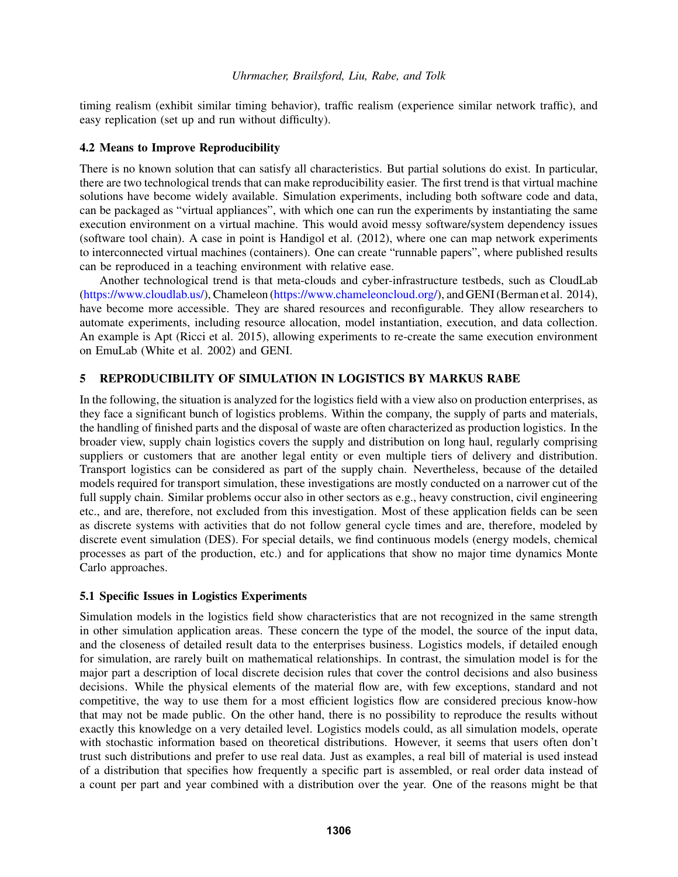timing realism (exhibit similar timing behavior), traffic realism (experience similar network traffic), and easy replication (set up and run without difficulty).

### 4.2 Means to Improve Reproducibility

There is no known solution that can satisfy all characteristics. But partial solutions do exist. In particular, there are two technological trends that can make reproducibility easier. The first trend is that virtual machine solutions have become widely available. Simulation experiments, including both software code and data, can be packaged as "virtual appliances", with which one can run the experiments by instantiating the same execution environment on a virtual machine. This would avoid messy software/system dependency issues (software tool chain). A case in point is Handigol et al. (2012), where one can map network experiments to interconnected virtual machines (containers). One can create "runnable papers", where published results can be reproduced in a teaching environment with relative ease.

Another technological trend is that meta-clouds and cyber-infrastructure testbeds, such as CloudLab (https://www.cloudlab.us/), Chameleon (https://www.chameleoncloud.org/), and GENI (Berman et al. 2014), have become more accessible. They are shared resources and reconfigurable. They allow researchers to automate experiments, including resource allocation, model instantiation, execution, and data collection. An example is Apt (Ricci et al. 2015), allowing experiments to re-create the same execution environment on EmuLab (White et al. 2002) and GENI.

## 5 REPRODUCIBILITY OF SIMULATION IN LOGISTICS BY MARKUS RABE

In the following, the situation is analyzed for the logistics field with a view also on production enterprises, as they face a significant bunch of logistics problems. Within the company, the supply of parts and materials, the handling of finished parts and the disposal of waste are often characterized as production logistics. In the broader view, supply chain logistics covers the supply and distribution on long haul, regularly comprising suppliers or customers that are another legal entity or even multiple tiers of delivery and distribution. Transport logistics can be considered as part of the supply chain. Nevertheless, because of the detailed models required for transport simulation, these investigations are mostly conducted on a narrower cut of the full supply chain. Similar problems occur also in other sectors as e.g., heavy construction, civil engineering etc., and are, therefore, not excluded from this investigation. Most of these application fields can be seen as discrete systems with activities that do not follow general cycle times and are, therefore, modeled by discrete event simulation (DES). For special details, we find continuous models (energy models, chemical processes as part of the production, etc.) and for applications that show no major time dynamics Monte Carlo approaches.

### 5.1 Specific Issues in Logistics Experiments

Simulation models in the logistics field show characteristics that are not recognized in the same strength in other simulation application areas. These concern the type of the model, the source of the input data, and the closeness of detailed result data to the enterprises business. Logistics models, if detailed enough for simulation, are rarely built on mathematical relationships. In contrast, the simulation model is for the major part a description of local discrete decision rules that cover the control decisions and also business decisions. While the physical elements of the material flow are, with few exceptions, standard and not competitive, the way to use them for a most efficient logistics flow are considered precious know-how that may not be made public. On the other hand, there is no possibility to reproduce the results without exactly this knowledge on a very detailed level. Logistics models could, as all simulation models, operate with stochastic information based on theoretical distributions. However, it seems that users often don't trust such distributions and prefer to use real data. Just as examples, a real bill of material is used instead of a distribution that specifies how frequently a specific part is assembled, or real order data instead of a count per part and year combined with a distribution over the year. One of the reasons might be that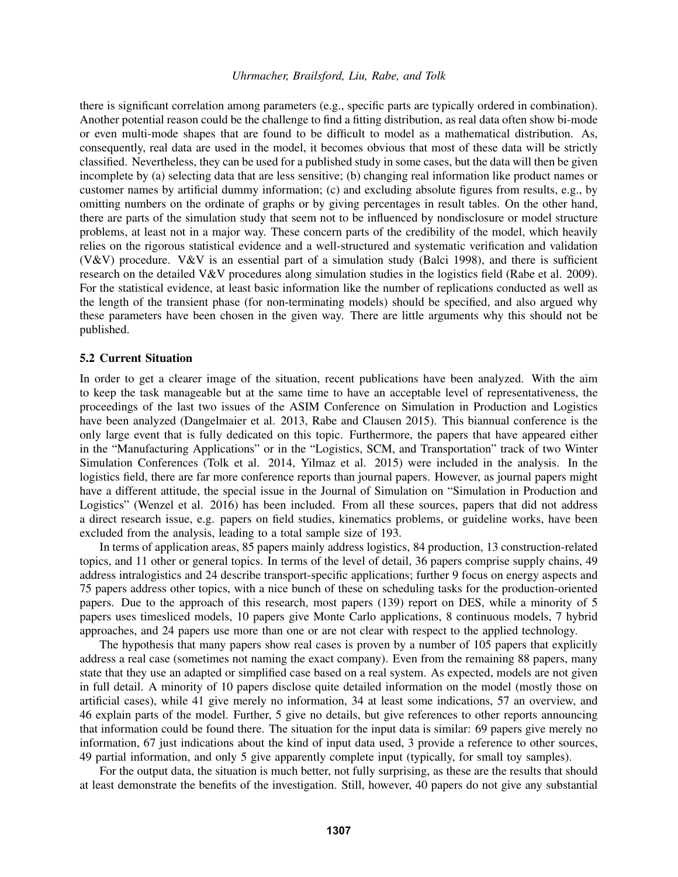there is significant correlation among parameters (e.g., specific parts are typically ordered in combination). Another potential reason could be the challenge to find a fitting distribution, as real data often show bi-mode or even multi-mode shapes that are found to be difficult to model as a mathematical distribution. As, consequently, real data are used in the model, it becomes obvious that most of these data will be strictly classified. Nevertheless, they can be used for a published study in some cases, but the data will then be given incomplete by (a) selecting data that are less sensitive; (b) changing real information like product names or customer names by artificial dummy information; (c) and excluding absolute figures from results, e.g., by omitting numbers on the ordinate of graphs or by giving percentages in result tables. On the other hand, there are parts of the simulation study that seem not to be influenced by nondisclosure or model structure problems, at least not in a major way. These concern parts of the credibility of the model, which heavily relies on the rigorous statistical evidence and a well-structured and systematic verification and validation (V&V) procedure. V&V is an essential part of a simulation study (Balci 1998), and there is sufficient research on the detailed V&V procedures along simulation studies in the logistics field (Rabe et al. 2009). For the statistical evidence, at least basic information like the number of replications conducted as well as the length of the transient phase (for non-terminating models) should be specified, and also argued why these parameters have been chosen in the given way. There are little arguments why this should not be published.

#### 5.2 Current Situation

In order to get a clearer image of the situation, recent publications have been analyzed. With the aim to keep the task manageable but at the same time to have an acceptable level of representativeness, the proceedings of the last two issues of the ASIM Conference on Simulation in Production and Logistics have been analyzed (Dangelmaier et al. 2013, Rabe and Clausen 2015). This biannual conference is the only large event that is fully dedicated on this topic. Furthermore, the papers that have appeared either in the "Manufacturing Applications" or in the "Logistics, SCM, and Transportation" track of two Winter Simulation Conferences (Tolk et al. 2014, Yilmaz et al. 2015) were included in the analysis. In the logistics field, there are far more conference reports than journal papers. However, as journal papers might have a different attitude, the special issue in the Journal of Simulation on "Simulation in Production and Logistics" (Wenzel et al. 2016) has been included. From all these sources, papers that did not address a direct research issue, e.g. papers on field studies, kinematics problems, or guideline works, have been excluded from the analysis, leading to a total sample size of 193.

In terms of application areas, 85 papers mainly address logistics, 84 production, 13 construction-related topics, and 11 other or general topics. In terms of the level of detail, 36 papers comprise supply chains, 49 address intralogistics and 24 describe transport-specific applications; further 9 focus on energy aspects and 75 papers address other topics, with a nice bunch of these on scheduling tasks for the production-oriented papers. Due to the approach of this research, most papers (139) report on DES, while a minority of 5 papers uses timesliced models, 10 papers give Monte Carlo applications, 8 continuous models, 7 hybrid approaches, and 24 papers use more than one or are not clear with respect to the applied technology.

The hypothesis that many papers show real cases is proven by a number of 105 papers that explicitly address a real case (sometimes not naming the exact company). Even from the remaining 88 papers, many state that they use an adapted or simplified case based on a real system. As expected, models are not given in full detail. A minority of 10 papers disclose quite detailed information on the model (mostly those on artificial cases), while 41 give merely no information, 34 at least some indications, 57 an overview, and 46 explain parts of the model. Further, 5 give no details, but give references to other reports announcing that information could be found there. The situation for the input data is similar: 69 papers give merely no information, 67 just indications about the kind of input data used, 3 provide a reference to other sources, 49 partial information, and only 5 give apparently complete input (typically, for small toy samples).

For the output data, the situation is much better, not fully surprising, as these are the results that should at least demonstrate the benefits of the investigation. Still, however, 40 papers do not give any substantial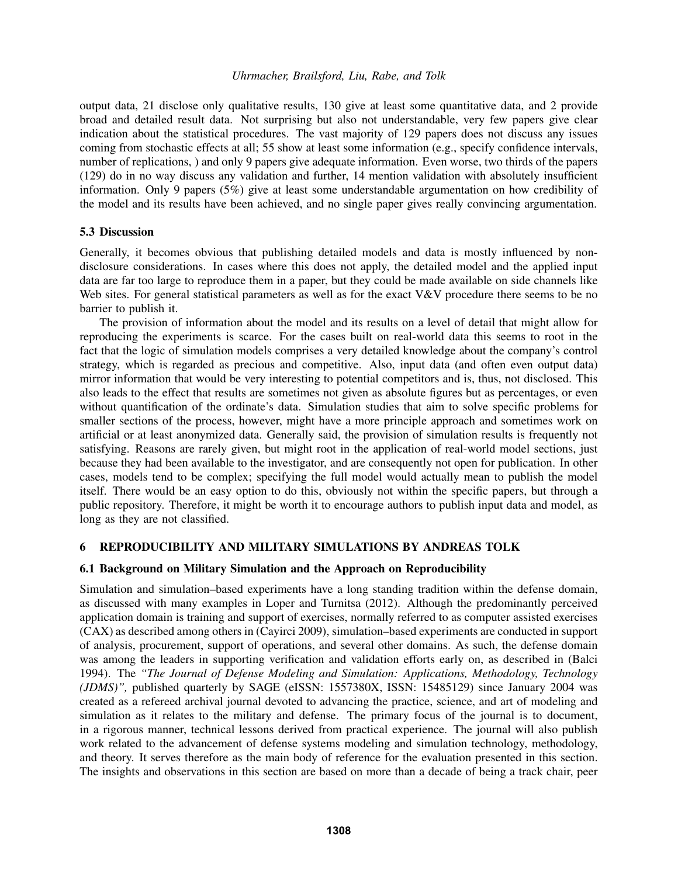output data, 21 disclose only qualitative results, 130 give at least some quantitative data, and 2 provide broad and detailed result data. Not surprising but also not understandable, very few papers give clear indication about the statistical procedures. The vast majority of 129 papers does not discuss any issues coming from stochastic effects at all; 55 show at least some information (e.g., specify confidence intervals, number of replications, ) and only 9 papers give adequate information. Even worse, two thirds of the papers (129) do in no way discuss any validation and further, 14 mention validation with absolutely insufficient information. Only 9 papers (5%) give at least some understandable argumentation on how credibility of the model and its results have been achieved, and no single paper gives really convincing argumentation.

### 5.3 Discussion

Generally, it becomes obvious that publishing detailed models and data is mostly influenced by nondisclosure considerations. In cases where this does not apply, the detailed model and the applied input data are far too large to reproduce them in a paper, but they could be made available on side channels like Web sites. For general statistical parameters as well as for the exact V&V procedure there seems to be no barrier to publish it.

The provision of information about the model and its results on a level of detail that might allow for reproducing the experiments is scarce. For the cases built on real-world data this seems to root in the fact that the logic of simulation models comprises a very detailed knowledge about the company's control strategy, which is regarded as precious and competitive. Also, input data (and often even output data) mirror information that would be very interesting to potential competitors and is, thus, not disclosed. This also leads to the effect that results are sometimes not given as absolute figures but as percentages, or even without quantification of the ordinate's data. Simulation studies that aim to solve specific problems for smaller sections of the process, however, might have a more principle approach and sometimes work on artificial or at least anonymized data. Generally said, the provision of simulation results is frequently not satisfying. Reasons are rarely given, but might root in the application of real-world model sections, just because they had been available to the investigator, and are consequently not open for publication. In other cases, models tend to be complex; specifying the full model would actually mean to publish the model itself. There would be an easy option to do this, obviously not within the specific papers, but through a public repository. Therefore, it might be worth it to encourage authors to publish input data and model, as long as they are not classified.

### 6 REPRODUCIBILITY AND MILITARY SIMULATIONS BY ANDREAS TOLK

### 6.1 Background on Military Simulation and the Approach on Reproducibility

Simulation and simulation–based experiments have a long standing tradition within the defense domain, as discussed with many examples in Loper and Turnitsa (2012). Although the predominantly perceived application domain is training and support of exercises, normally referred to as computer assisted exercises (CAX) as described among others in (Cayirci 2009), simulation–based experiments are conducted in support of analysis, procurement, support of operations, and several other domains. As such, the defense domain was among the leaders in supporting verification and validation efforts early on, as described in (Balci 1994). The *"The Journal of Defense Modeling and Simulation: Applications, Methodology, Technology (JDMS)",* published quarterly by SAGE (eISSN: 1557380X, ISSN: 15485129) since January 2004 was created as a refereed archival journal devoted to advancing the practice, science, and art of modeling and simulation as it relates to the military and defense. The primary focus of the journal is to document, in a rigorous manner, technical lessons derived from practical experience. The journal will also publish work related to the advancement of defense systems modeling and simulation technology, methodology, and theory. It serves therefore as the main body of reference for the evaluation presented in this section. The insights and observations in this section are based on more than a decade of being a track chair, peer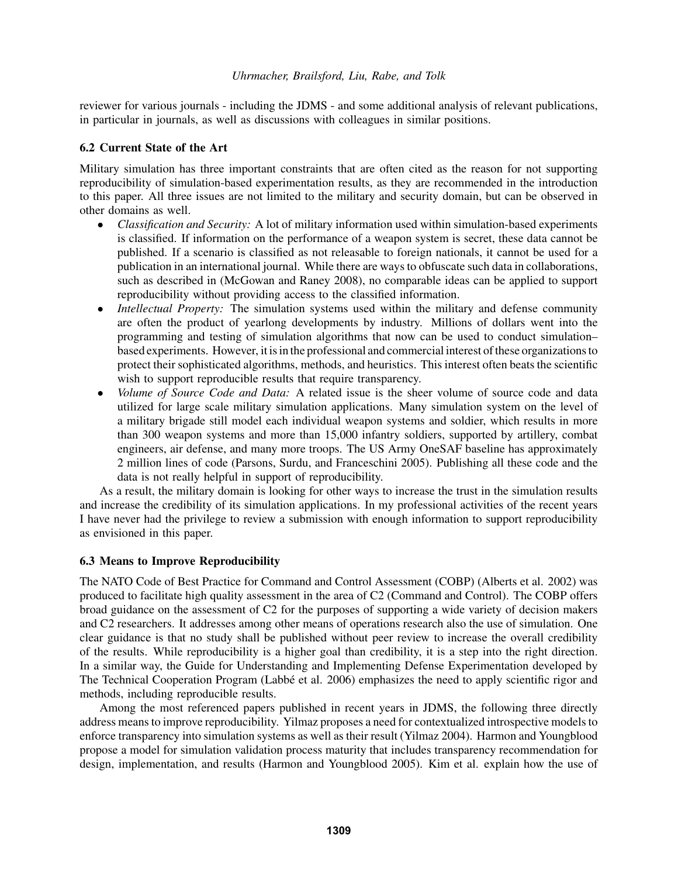reviewer for various journals - including the JDMS - and some additional analysis of relevant publications, in particular in journals, as well as discussions with colleagues in similar positions.

## 6.2 Current State of the Art

Military simulation has three important constraints that are often cited as the reason for not supporting reproducibility of simulation-based experimentation results, as they are recommended in the introduction to this paper. All three issues are not limited to the military and security domain, but can be observed in other domains as well.

- *Classification and Security:* A lot of military information used within simulation-based experiments is classified. If information on the performance of a weapon system is secret, these data cannot be published. If a scenario is classified as not releasable to foreign nationals, it cannot be used for a publication in an international journal. While there are ways to obfuscate such data in collaborations, such as described in (McGowan and Raney 2008), no comparable ideas can be applied to support reproducibility without providing access to the classified information.
- *Intellectual Property:* The simulation systems used within the military and defense community are often the product of yearlong developments by industry. Millions of dollars went into the programming and testing of simulation algorithms that now can be used to conduct simulation– based experiments. However, it is in the professional and commercial interest of these organizations to protect their sophisticated algorithms, methods, and heuristics. This interest often beats the scientific wish to support reproducible results that require transparency.
- *Volume of Source Code and Data:* A related issue is the sheer volume of source code and data utilized for large scale military simulation applications. Many simulation system on the level of a military brigade still model each individual weapon systems and soldier, which results in more than 300 weapon systems and more than 15,000 infantry soldiers, supported by artillery, combat engineers, air defense, and many more troops. The US Army OneSAF baseline has approximately 2 million lines of code (Parsons, Surdu, and Franceschini 2005). Publishing all these code and the data is not really helpful in support of reproducibility.

As a result, the military domain is looking for other ways to increase the trust in the simulation results and increase the credibility of its simulation applications. In my professional activities of the recent years I have never had the privilege to review a submission with enough information to support reproducibility as envisioned in this paper.

## 6.3 Means to Improve Reproducibility

The NATO Code of Best Practice for Command and Control Assessment (COBP) (Alberts et al. 2002) was produced to facilitate high quality assessment in the area of C2 (Command and Control). The COBP offers broad guidance on the assessment of C2 for the purposes of supporting a wide variety of decision makers and C2 researchers. It addresses among other means of operations research also the use of simulation. One clear guidance is that no study shall be published without peer review to increase the overall credibility of the results. While reproducibility is a higher goal than credibility, it is a step into the right direction. In a similar way, the Guide for Understanding and Implementing Defense Experimentation developed by The Technical Cooperation Program (Labbé et al. 2006) emphasizes the need to apply scientific rigor and methods, including reproducible results.

Among the most referenced papers published in recent years in JDMS, the following three directly address means to improve reproducibility. Yilmaz proposes a need for contextualized introspective models to enforce transparency into simulation systems as well as their result (Yilmaz 2004). Harmon and Youngblood propose a model for simulation validation process maturity that includes transparency recommendation for design, implementation, and results (Harmon and Youngblood 2005). Kim et al. explain how the use of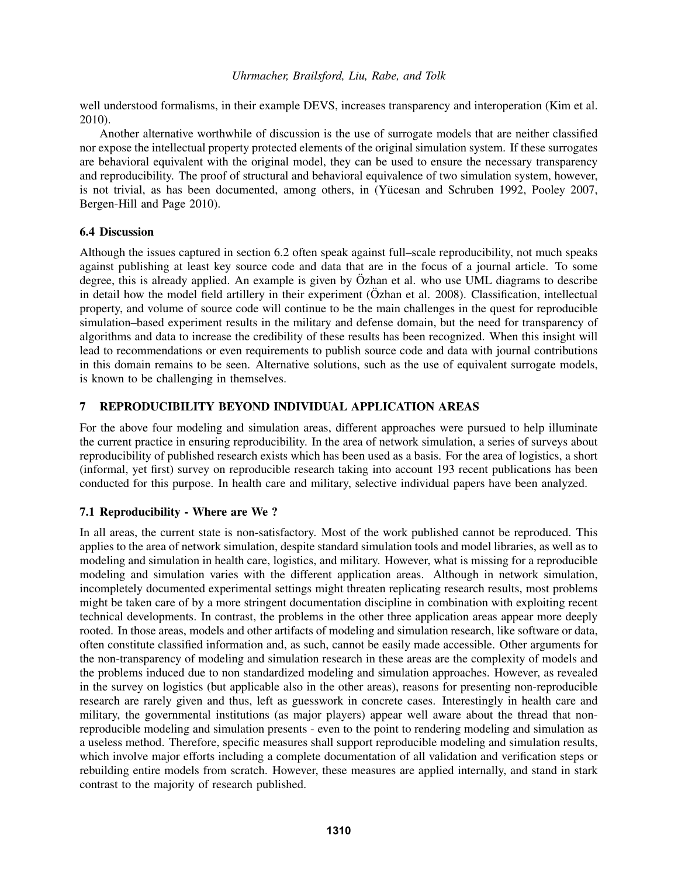well understood formalisms, in their example DEVS, increases transparency and interoperation (Kim et al. 2010).

Another alternative worthwhile of discussion is the use of surrogate models that are neither classified nor expose the intellectual property protected elements of the original simulation system. If these surrogates are behavioral equivalent with the original model, they can be used to ensure the necessary transparency and reproducibility. The proof of structural and behavioral equivalence of two simulation system, however, is not trivial, as has been documented, among others, in (Yücesan and Schruben 1992, Pooley 2007, Bergen-Hill and Page 2010).

## 6.4 Discussion

Although the issues captured in section 6.2 often speak against full–scale reproducibility, not much speaks against publishing at least key source code and data that are in the focus of a journal article. To some degree, this is already applied. An example is given by Özhan et al. who use UML diagrams to describe in detail how the model field artillery in their experiment ( $\ddot{O}$ zhan et al. 2008). Classification, intellectual property, and volume of source code will continue to be the main challenges in the quest for reproducible simulation–based experiment results in the military and defense domain, but the need for transparency of algorithms and data to increase the credibility of these results has been recognized. When this insight will lead to recommendations or even requirements to publish source code and data with journal contributions in this domain remains to be seen. Alternative solutions, such as the use of equivalent surrogate models, is known to be challenging in themselves.

## 7 REPRODUCIBILITY BEYOND INDIVIDUAL APPLICATION AREAS

For the above four modeling and simulation areas, different approaches were pursued to help illuminate the current practice in ensuring reproducibility. In the area of network simulation, a series of surveys about reproducibility of published research exists which has been used as a basis. For the area of logistics, a short (informal, yet first) survey on reproducible research taking into account 193 recent publications has been conducted for this purpose. In health care and military, selective individual papers have been analyzed.

## 7.1 Reproducibility - Where are We ?

In all areas, the current state is non-satisfactory. Most of the work published cannot be reproduced. This applies to the area of network simulation, despite standard simulation tools and model libraries, as well as to modeling and simulation in health care, logistics, and military. However, what is missing for a reproducible modeling and simulation varies with the different application areas. Although in network simulation, incompletely documented experimental settings might threaten replicating research results, most problems might be taken care of by a more stringent documentation discipline in combination with exploiting recent technical developments. In contrast, the problems in the other three application areas appear more deeply rooted. In those areas, models and other artifacts of modeling and simulation research, like software or data, often constitute classified information and, as such, cannot be easily made accessible. Other arguments for the non-transparency of modeling and simulation research in these areas are the complexity of models and the problems induced due to non standardized modeling and simulation approaches. However, as revealed in the survey on logistics (but applicable also in the other areas), reasons for presenting non-reproducible research are rarely given and thus, left as guesswork in concrete cases. Interestingly in health care and military, the governmental institutions (as major players) appear well aware about the thread that nonreproducible modeling and simulation presents - even to the point to rendering modeling and simulation as a useless method. Therefore, specific measures shall support reproducible modeling and simulation results, which involve major efforts including a complete documentation of all validation and verification steps or rebuilding entire models from scratch. However, these measures are applied internally, and stand in stark contrast to the majority of research published.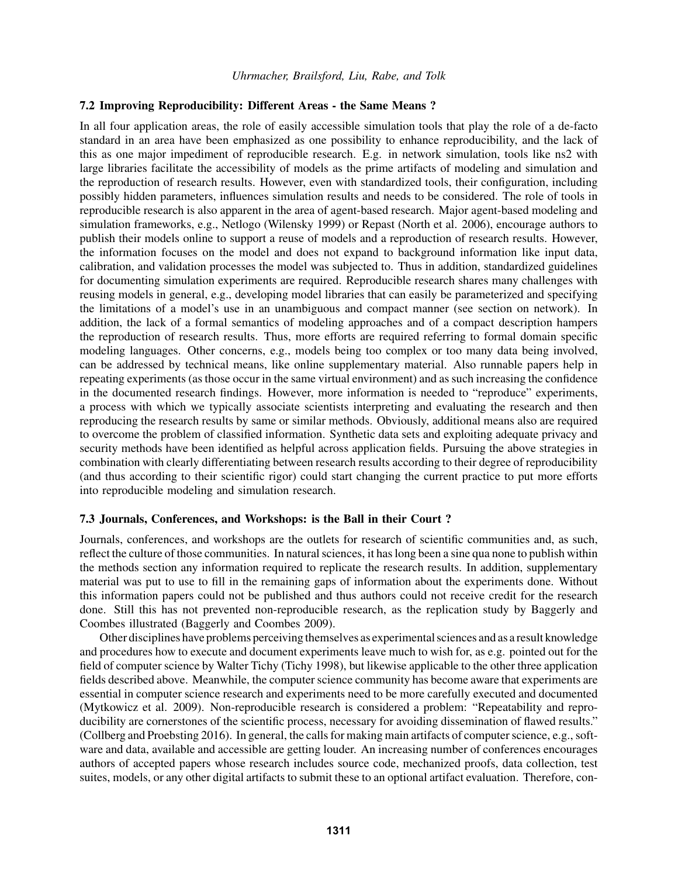#### 7.2 Improving Reproducibility: Different Areas - the Same Means ?

In all four application areas, the role of easily accessible simulation tools that play the role of a de-facto standard in an area have been emphasized as one possibility to enhance reproducibility, and the lack of this as one major impediment of reproducible research. E.g. in network simulation, tools like ns2 with large libraries facilitate the accessibility of models as the prime artifacts of modeling and simulation and the reproduction of research results. However, even with standardized tools, their configuration, including possibly hidden parameters, influences simulation results and needs to be considered. The role of tools in reproducible research is also apparent in the area of agent-based research. Major agent-based modeling and simulation frameworks, e.g., Netlogo (Wilensky 1999) or Repast (North et al. 2006), encourage authors to publish their models online to support a reuse of models and a reproduction of research results. However, the information focuses on the model and does not expand to background information like input data, calibration, and validation processes the model was subjected to. Thus in addition, standardized guidelines for documenting simulation experiments are required. Reproducible research shares many challenges with reusing models in general, e.g., developing model libraries that can easily be parameterized and specifying the limitations of a model's use in an unambiguous and compact manner (see section on network). In addition, the lack of a formal semantics of modeling approaches and of a compact description hampers the reproduction of research results. Thus, more efforts are required referring to formal domain specific modeling languages. Other concerns, e.g., models being too complex or too many data being involved, can be addressed by technical means, like online supplementary material. Also runnable papers help in repeating experiments (as those occur in the same virtual environment) and as such increasing the confidence in the documented research findings. However, more information is needed to "reproduce" experiments, a process with which we typically associate scientists interpreting and evaluating the research and then reproducing the research results by same or similar methods. Obviously, additional means also are required to overcome the problem of classified information. Synthetic data sets and exploiting adequate privacy and security methods have been identified as helpful across application fields. Pursuing the above strategies in combination with clearly differentiating between research results according to their degree of reproducibility (and thus according to their scientific rigor) could start changing the current practice to put more efforts into reproducible modeling and simulation research.

### 7.3 Journals, Conferences, and Workshops: is the Ball in their Court ?

Journals, conferences, and workshops are the outlets for research of scientific communities and, as such, reflect the culture of those communities. In natural sciences, it has long been a sine qua none to publish within the methods section any information required to replicate the research results. In addition, supplementary material was put to use to fill in the remaining gaps of information about the experiments done. Without this information papers could not be published and thus authors could not receive credit for the research done. Still this has not prevented non-reproducible research, as the replication study by Baggerly and Coombes illustrated (Baggerly and Coombes 2009).

Other disciplines have problems perceiving themselves as experimental sciences and as a result knowledge and procedures how to execute and document experiments leave much to wish for, as e.g. pointed out for the field of computer science by Walter Tichy (Tichy 1998), but likewise applicable to the other three application fields described above. Meanwhile, the computer science community has become aware that experiments are essential in computer science research and experiments need to be more carefully executed and documented (Mytkowicz et al. 2009). Non-reproducible research is considered a problem: "Repeatability and reproducibility are cornerstones of the scientific process, necessary for avoiding dissemination of flawed results." (Collberg and Proebsting 2016). In general, the calls for making main artifacts of computer science, e.g., software and data, available and accessible are getting louder. An increasing number of conferences encourages authors of accepted papers whose research includes source code, mechanized proofs, data collection, test suites, models, or any other digital artifacts to submit these to an optional artifact evaluation. Therefore, con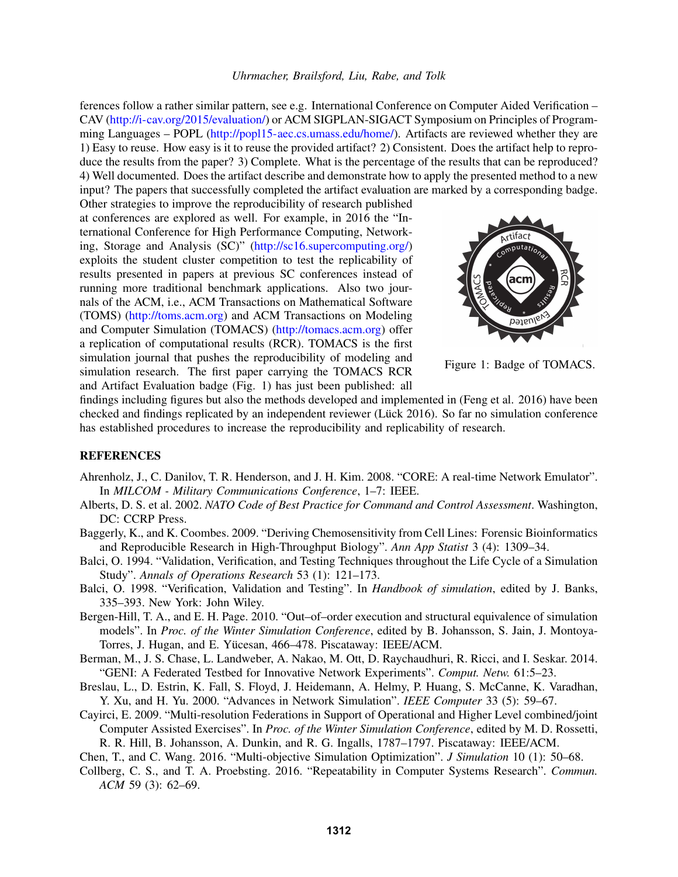ferences follow a rather similar pattern, see e.g. International Conference on Computer Aided Verification – CAV (http://i-cav.org/2015/evaluation/) or ACM SIGPLAN-SIGACT Symposium on Principles of Programming Languages – POPL (http://popl15-aec.cs.umass.edu/home/). Artifacts are reviewed whether they are 1) Easy to reuse. How easy is it to reuse the provided artifact? 2) Consistent. Does the artifact help to reproduce the results from the paper? 3) Complete. What is the percentage of the results that can be reproduced? 4) Well documented. Does the artifact describe and demonstrate how to apply the presented method to a new input? The papers that successfully completed the artifact evaluation are marked by a corresponding badge.

Other strategies to improve the reproducibility of research published at conferences are explored as well. For example, in 2016 the "International Conference for High Performance Computing, Networking, Storage and Analysis (SC)" (http://sc16.supercomputing.org/) exploits the student cluster competition to test the replicability of results presented in papers at previous SC conferences instead of running more traditional benchmark applications. Also two journals of the ACM, i.e., ACM Transactions on Mathematical Software (TOMS) (http://toms.acm.org) and ACM Transactions on Modeling and Computer Simulation (TOMACS) (http://tomacs.acm.org) offer a replication of computational results (RCR). TOMACS is the first simulation journal that pushes the reproducibility of modeling and simulation research. The first paper carrying the TOMACS RCR and Artifact Evaluation badge (Fig. 1) has just been published: all



Figure 1: Badge of TOMACS.

findings including figures but also the methods developed and implemented in (Feng et al. 2016) have been checked and findings replicated by an independent reviewer (Lück 2016). So far no simulation conference has established procedures to increase the reproducibility and replicability of research.

## **REFERENCES**

- Ahrenholz, J., C. Danilov, T. R. Henderson, and J. H. Kim. 2008. "CORE: A real-time Network Emulator". In *MILCOM - Military Communications Conference*, 1–7: IEEE.
- Alberts, D. S. et al. 2002. *NATO Code of Best Practice for Command and Control Assessment*. Washington, DC: CCRP Press.
- Baggerly, K., and K. Coombes. 2009. "Deriving Chemosensitivity from Cell Lines: Forensic Bioinformatics and Reproducible Research in High-Throughput Biology". *Ann App Statist* 3 (4): 1309–34.
- Balci, O. 1994. "Validation, Verification, and Testing Techniques throughout the Life Cycle of a Simulation Study". *Annals of Operations Research* 53 (1): 121–173.
- Balci, O. 1998. "Verification, Validation and Testing". In *Handbook of simulation*, edited by J. Banks, 335–393. New York: John Wiley.
- Bergen-Hill, T. A., and E. H. Page. 2010. "Out–of–order execution and structural equivalence of simulation models". In *Proc. of the Winter Simulation Conference*, edited by B. Johansson, S. Jain, J. Montoya-Torres, J. Hugan, and E. Yücesan, 466–478. Piscataway: IEEE/ACM.
- Berman, M., J. S. Chase, L. Landweber, A. Nakao, M. Ott, D. Raychaudhuri, R. Ricci, and I. Seskar. 2014. "GENI: A Federated Testbed for Innovative Network Experiments". *Comput. Netw.* 61:5–23.
- Breslau, L., D. Estrin, K. Fall, S. Floyd, J. Heidemann, A. Helmy, P. Huang, S. McCanne, K. Varadhan, Y. Xu, and H. Yu. 2000. "Advances in Network Simulation". *IEEE Computer* 33 (5): 59–67.
- Cayirci, E. 2009. "Multi-resolution Federations in Support of Operational and Higher Level combined/joint Computer Assisted Exercises". In *Proc. of the Winter Simulation Conference*, edited by M. D. Rossetti, R. R. Hill, B. Johansson, A. Dunkin, and R. G. Ingalls, 1787–1797. Piscataway: IEEE/ACM.
- Chen, T., and C. Wang. 2016. "Multi-objective Simulation Optimization". *J Simulation* 10 (1): 50–68.
- Collberg, C. S., and T. A. Proebsting. 2016. "Repeatability in Computer Systems Research". *Commun. ACM* 59 (3): 62–69.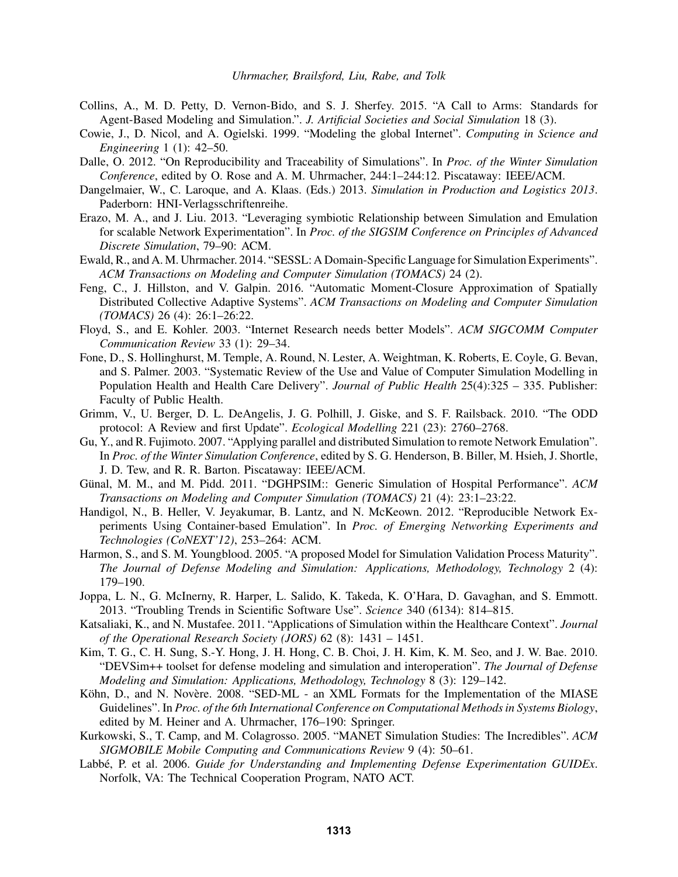- Collins, A., M. D. Petty, D. Vernon-Bido, and S. J. Sherfey. 2015. "A Call to Arms: Standards for Agent-Based Modeling and Simulation.". *J. Artificial Societies and Social Simulation* 18 (3).
- Cowie, J., D. Nicol, and A. Ogielski. 1999. "Modeling the global Internet". *Computing in Science and Engineering* 1 (1): 42–50.
- Dalle, O. 2012. "On Reproducibility and Traceability of Simulations". In *Proc. of the Winter Simulation Conference*, edited by O. Rose and A. M. Uhrmacher, 244:1–244:12. Piscataway: IEEE/ACM.
- Dangelmaier, W., C. Laroque, and A. Klaas. (Eds.) 2013. *Simulation in Production and Logistics 2013*. Paderborn: HNI-Verlagsschriftenreihe.
- Erazo, M. A., and J. Liu. 2013. "Leveraging symbiotic Relationship between Simulation and Emulation for scalable Network Experimentation". In *Proc. of the SIGSIM Conference on Principles of Advanced Discrete Simulation*, 79–90: ACM.
- Ewald, R., and A. M. Uhrmacher. 2014. "SESSL: A Domain-Specific Language for Simulation Experiments". *ACM Transactions on Modeling and Computer Simulation (TOMACS)* 24 (2).
- Feng, C., J. Hillston, and V. Galpin. 2016. "Automatic Moment-Closure Approximation of Spatially Distributed Collective Adaptive Systems". *ACM Transactions on Modeling and Computer Simulation (TOMACS)* 26 (4): 26:1–26:22.
- Floyd, S., and E. Kohler. 2003. "Internet Research needs better Models". *ACM SIGCOMM Computer Communication Review* 33 (1): 29–34.
- Fone, D., S. Hollinghurst, M. Temple, A. Round, N. Lester, A. Weightman, K. Roberts, E. Coyle, G. Bevan, and S. Palmer. 2003. "Systematic Review of the Use and Value of Computer Simulation Modelling in Population Health and Health Care Delivery". *Journal of Public Health* 25(4):325 – 335. Publisher: Faculty of Public Health.
- Grimm, V., U. Berger, D. L. DeAngelis, J. G. Polhill, J. Giske, and S. F. Railsback. 2010. "The ODD protocol: A Review and first Update". *Ecological Modelling* 221 (23): 2760–2768.
- Gu, Y., and R. Fujimoto. 2007. "Applying parallel and distributed Simulation to remote Network Emulation". In *Proc. of the Winter Simulation Conference*, edited by S. G. Henderson, B. Biller, M. Hsieh, J. Shortle, J. D. Tew, and R. R. Barton. Piscataway: IEEE/ACM.
- Günal, M. M., and M. Pidd. 2011. "DGHPSIM:: Generic Simulation of Hospital Performance". ACM *Transactions on Modeling and Computer Simulation (TOMACS)* 21 (4): 23:1–23:22.
- Handigol, N., B. Heller, V. Jeyakumar, B. Lantz, and N. McKeown. 2012. "Reproducible Network Experiments Using Container-based Emulation". In *Proc. of Emerging Networking Experiments and Technologies (CoNEXT'12)*, 253–264: ACM.
- Harmon, S., and S. M. Youngblood. 2005. "A proposed Model for Simulation Validation Process Maturity". *The Journal of Defense Modeling and Simulation: Applications, Methodology, Technology* 2 (4): 179–190.
- Joppa, L. N., G. McInerny, R. Harper, L. Salido, K. Takeda, K. O'Hara, D. Gavaghan, and S. Emmott. 2013. "Troubling Trends in Scientific Software Use". *Science* 340 (6134): 814–815.
- Katsaliaki, K., and N. Mustafee. 2011. "Applications of Simulation within the Healthcare Context". *Journal of the Operational Research Society (JORS)* 62 (8): 1431 – 1451.
- Kim, T. G., C. H. Sung, S.-Y. Hong, J. H. Hong, C. B. Choi, J. H. Kim, K. M. Seo, and J. W. Bae. 2010. "DEVSim++ toolset for defense modeling and simulation and interoperation". *The Journal of Defense Modeling and Simulation: Applications, Methodology, Technology* 8 (3): 129–142.
- Köhn, D., and N. Novère. 2008. "SED-ML an XML Formats for the Implementation of the MIASE Guidelines". In *Proc. of the 6th International Conference on Computational Methods in Systems Biology*, edited by M. Heiner and A. Uhrmacher, 176–190: Springer.
- Kurkowski, S., T. Camp, and M. Colagrosso. 2005. "MANET Simulation Studies: The Incredibles". *ACM SIGMOBILE Mobile Computing and Communications Review* 9 (4): 50–61.
- Labbé, P. et al. 2006. Guide for Understanding and Implementing Defense Experimentation GUIDEx. Norfolk, VA: The Technical Cooperation Program, NATO ACT.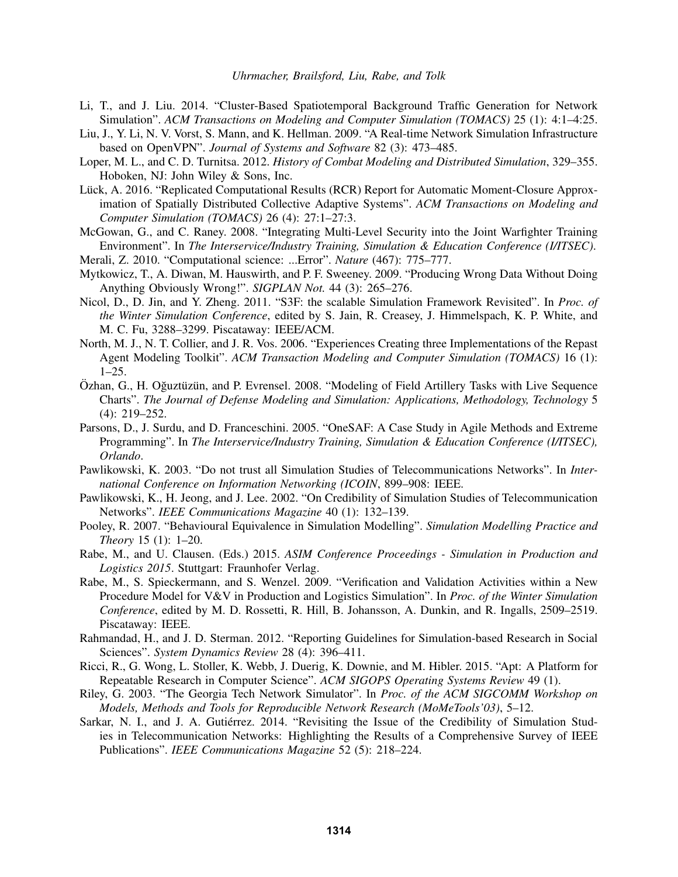- Li, T., and J. Liu. 2014. "Cluster-Based Spatiotemporal Background Traffic Generation for Network Simulation". *ACM Transactions on Modeling and Computer Simulation (TOMACS)* 25 (1): 4:1–4:25.
- Liu, J., Y. Li, N. V. Vorst, S. Mann, and K. Hellman. 2009. "A Real-time Network Simulation Infrastructure based on OpenVPN". *Journal of Systems and Software* 82 (3): 473–485.
- Loper, M. L., and C. D. Turnitsa. 2012. *History of Combat Modeling and Distributed Simulation*, 329–355. Hoboken, NJ: John Wiley & Sons, Inc.
- Lück, A. 2016. "Replicated Computational Results (RCR) Report for Automatic Moment-Closure Approximation of Spatially Distributed Collective Adaptive Systems". *ACM Transactions on Modeling and Computer Simulation (TOMACS)* 26 (4): 27:1–27:3.
- McGowan, G., and C. Raney. 2008. "Integrating Multi-Level Security into the Joint Warfighter Training Environment". In *The Interservice/Industry Training, Simulation & Education Conference (I/ITSEC)*.
- Merali, Z. 2010. "Computational science: ...Error". *Nature* (467): 775–777.
- Mytkowicz, T., A. Diwan, M. Hauswirth, and P. F. Sweeney. 2009. "Producing Wrong Data Without Doing Anything Obviously Wrong!". *SIGPLAN Not.* 44 (3): 265–276.
- Nicol, D., D. Jin, and Y. Zheng. 2011. "S3F: the scalable Simulation Framework Revisited". In *Proc. of the Winter Simulation Conference*, edited by S. Jain, R. Creasey, J. Himmelspach, K. P. White, and M. C. Fu, 3288–3299. Piscataway: IEEE/ACM.
- North, M. J., N. T. Collier, and J. R. Vos. 2006. "Experiences Creating three Implementations of the Repast Agent Modeling Toolkit". *ACM Transaction Modeling and Computer Simulation (TOMACS)* 16 (1):  $1-25.$
- Özhan, G., H. Oğuztüzün, and P. Evrensel. 2008. "Modeling of Field Artillery Tasks with Live Sequence Charts". *The Journal of Defense Modeling and Simulation: Applications, Methodology, Technology* 5 (4): 219–252.
- Parsons, D., J. Surdu, and D. Franceschini. 2005. "OneSAF: A Case Study in Agile Methods and Extreme Programming". In *The Interservice/Industry Training, Simulation & Education Conference (I/ITSEC), Orlando*.
- Pawlikowski, K. 2003. "Do not trust all Simulation Studies of Telecommunications Networks". In *International Conference on Information Networking (ICOIN*, 899–908: IEEE.
- Pawlikowski, K., H. Jeong, and J. Lee. 2002. "On Credibility of Simulation Studies of Telecommunication Networks". *IEEE Communications Magazine* 40 (1): 132–139.
- Pooley, R. 2007. "Behavioural Equivalence in Simulation Modelling". *Simulation Modelling Practice and Theory* 15 (1): 1–20.
- Rabe, M., and U. Clausen. (Eds.) 2015. *ASIM Conference Proceedings Simulation in Production and Logistics 2015*. Stuttgart: Fraunhofer Verlag.
- Rabe, M., S. Spieckermann, and S. Wenzel. 2009. "Verification and Validation Activities within a New Procedure Model for V&V in Production and Logistics Simulation". In *Proc. of the Winter Simulation Conference*, edited by M. D. Rossetti, R. Hill, B. Johansson, A. Dunkin, and R. Ingalls, 2509–2519. Piscataway: IEEE.
- Rahmandad, H., and J. D. Sterman. 2012. "Reporting Guidelines for Simulation-based Research in Social Sciences". *System Dynamics Review* 28 (4): 396–411.
- Ricci, R., G. Wong, L. Stoller, K. Webb, J. Duerig, K. Downie, and M. Hibler. 2015. "Apt: A Platform for Repeatable Research in Computer Science". *ACM SIGOPS Operating Systems Review* 49 (1).
- Riley, G. 2003. "The Georgia Tech Network Simulator". In *Proc. of the ACM SIGCOMM Workshop on Models, Methods and Tools for Reproducible Network Research (MoMeTools'03)*, 5–12.
- Sarkar, N. I., and J. A. Gutiérrez. 2014. "Revisiting the Issue of the Credibility of Simulation Studies in Telecommunication Networks: Highlighting the Results of a Comprehensive Survey of IEEE Publications". *IEEE Communications Magazine* 52 (5): 218–224.